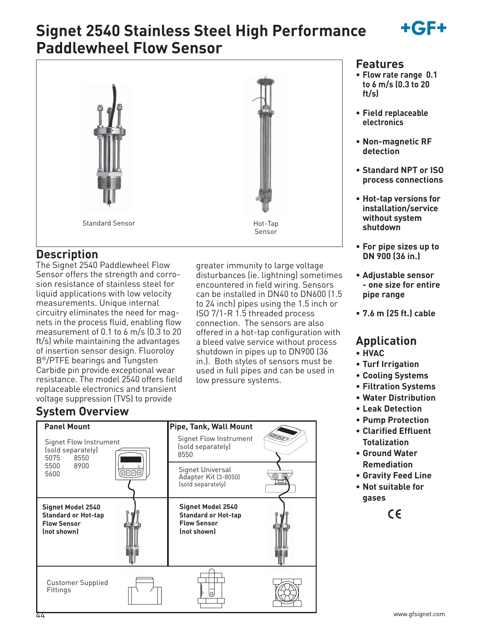

# **Signet 2540 Stainless Steel High Performance Paddlewheel Flow Sensor**



### **Description**

The Signet 2540 Paddlewheel Flow Sensor offers the strength and corrosion resistance of stainless steel for liquid applications with low velocity measurements. Unique internal circuitry eliminates the need for magnets in the process fluid, enabling flow measurement of 0.1 to 6 m/s (0.3 to 20 ft/s) while maintaining the advantages of insertion sensor design. Fluoroloy B®/PTFE bearings and Tungsten Carbide pin provide exceptional wear resistance. The model 2540 offers field replaceable electronics and transient voltage suppression (TVS) to provide

greater immunity to large voltage disturbances (ie. lightning) sometimes encountered in field wiring. Sensors can be installed in DN40 to DN600 (1.5 to 24 inch) pipes using the 1.5 inch or ISO 7/1-R 1.5 threaded process connection. The sensors are also offered in a hot-tap configuration with a bleed valve service without process shutdown in pipes up to DN900 (36 in.). Both styles of sensors must be used in full pipes and can be used in low pressure systems.

### **System Overview**



### **Features**

- **Flow rate range 0.1 to 6 m/s (0.3 to 20 ft/s)**
- **Field replaceable electronics**
- **Non-magnetic RF detection**
- **Standard NPT or ISO process connections**
- **Hot-tap versions for installation/service without system shutdown**
- **For pipe sizes up to DN 900 (36 in.)**
- **Adjustable sensor - one size for entire pipe range**
- **7.6 m (25 ft.) cable**

### **Application**

- **HVAC**
- **Turf Irrigation**
- **Cooling Systems**
- **Filtration Systems**
- **Water Distribution**
- **Leak Detection**
- **Pump Protection**
- **Clarified Effluent Totalization**
- **Ground Water Remediation**
- **Gravity Feed Line**
- **Not suitable for gases**